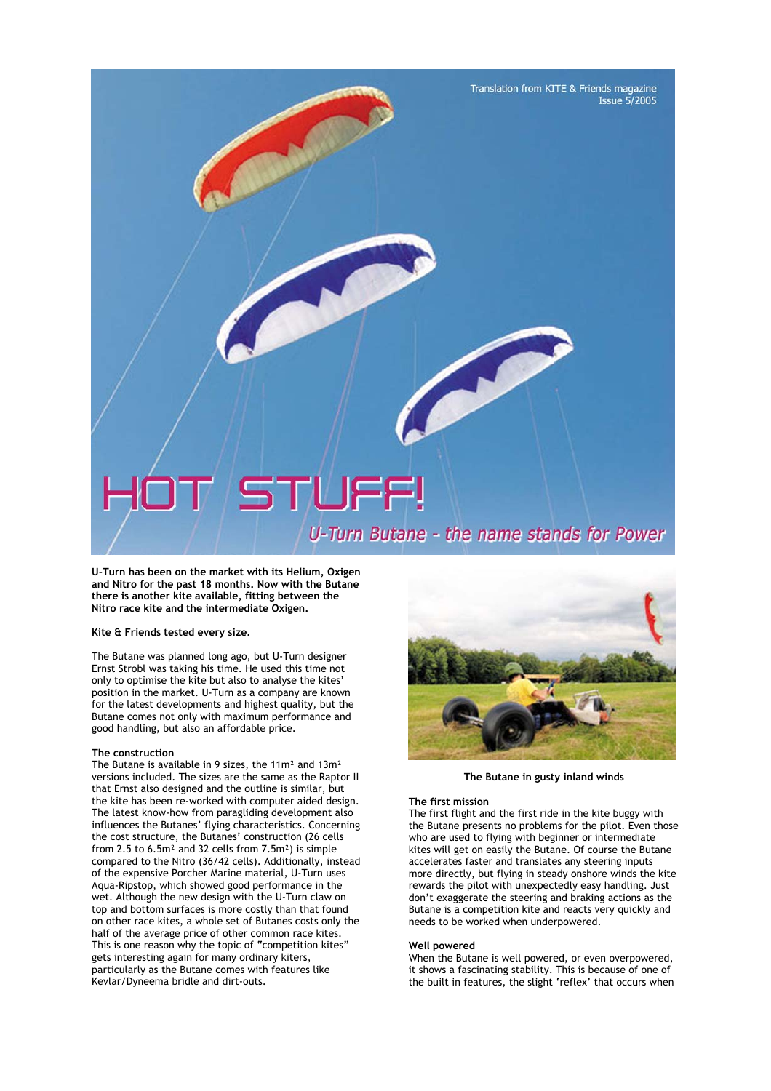Translation from KITE & Friends magazine **Issue 5/2005** 

# TUFF!

U-Turn Butane - the name stands for Power

**U-Turn has been on the market with its Helium, Oxigen and Nitro for the past 18 months. Now with the Butane there is another kite available, fitting between the Nitro race kite and the intermediate Oxigen.** 

# **Kite & Friends tested every size.**

The Butane was planned long ago, but U-Turn designer Ernst Strobl was taking his time. He used this time not only to optimise the kite but also to analyse the kites' position in the market. U-Turn as a company are known for the latest developments and highest quality, but the Butane comes not only with maximum performance and good handling, but also an affordable price.

### **The construction**

The Butane is available in 9 sizes, the 11m² and 13m² versions included. The sizes are the same as the Raptor II that Ernst also designed and the outline is similar, but the kite has been re-worked with computer aided design. The latest know-how from paragliding development also influences the Butanes' flying characteristics. Concerning the cost structure, the Butanes' construction (26 cells from 2.5 to 6.5m² and 32 cells from 7.5m²) is simple compared to the Nitro (36/42 cells). Additionally, instead of the expensive Porcher Marine material, U-Turn uses Aqua-Ripstop, which showed good performance in the wet. Although the new design with the U-Turn claw on top and bottom surfaces is more costly than that found on other race kites, a whole set of Butanes costs only the half of the average price of other common race kites. This is one reason why the topic of "competition kites" gets interesting again for many ordinary kiters, particularly as the Butane comes with features like Kevlar/Dyneema bridle and dirt-outs.



**The Butane in gusty inland winds** 

#### **The first mission**

The first flight and the first ride in the kite buggy with the Butane presents no problems for the pilot. Even those who are used to flying with beginner or intermediate kites will get on easily the Butane. Of course the Butane accelerates faster and translates any steering inputs more directly, but flying in steady onshore winds the kite rewards the pilot with unexpectedly easy handling. Just don't exaggerate the steering and braking actions as the Butane is a competition kite and reacts very quickly and needs to be worked when underpowered.

#### **Well powered**

When the Butane is well powered, or even overpowered, it shows a fascinating stability. This is because of one of the built in features, the slight 'reflex' that occurs when